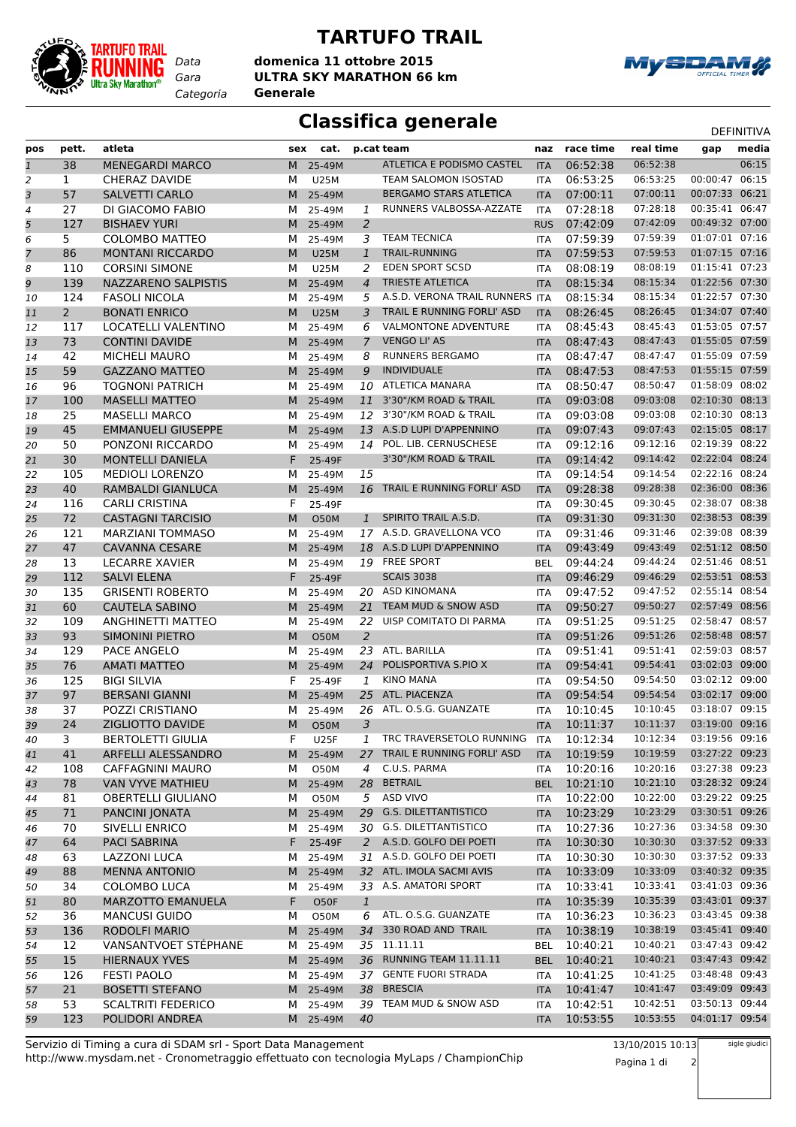

## **TARTUFO TRAIL**

*Gara* **ULTRA SKY MARATHON 66 km** *Categoria* **Generale domenica 11 ottobre 2015**



## **Classifica generale** Definitival DEFINITIVA

| pos          | pett.          | atleta                    | sex | cat.        |                | p.cat team                      | naz        | race time | real time | gap            | media |
|--------------|----------------|---------------------------|-----|-------------|----------------|---------------------------------|------------|-----------|-----------|----------------|-------|
| $\mathbf{1}$ | 38             | <b>MENEGARDI MARCO</b>    | M   | 25-49M      |                | ATLETICA E PODISMO CASTEL       | <b>ITA</b> | 06:52:38  | 06:52:38  |                | 06:15 |
| 2            | 1              | <b>CHERAZ DAVIDE</b>      | М   | <b>U25M</b> |                | TEAM SALOMON ISOSTAD            | <b>ITA</b> | 06:53:25  | 06:53:25  | 00:00:47       | 06:15 |
| 3            | 57             | <b>SALVETTI CARLO</b>     | M   | 25-49M      |                | <b>BERGAMO STARS ATLETICA</b>   | <b>ITA</b> | 07:00:11  | 07:00:11  | 00:07:33       | 06:21 |
| 4            | 27             | DI GIACOMO FABIO          | м   | 25-49M      | 1              | RUNNERS VALBOSSA-AZZATE         | <b>ITA</b> | 07:28:18  | 07:28:18  | 00:35:41       | 06:47 |
| 5            | 127            | <b>BISHAEV YURI</b>       | M   | 25-49M      | 2              |                                 | <b>RUS</b> | 07:42:09  | 07:42:09  | 00:49:32 07:00 |       |
| 6            | 5              | <b>COLOMBO MATTEO</b>     | м   | 25-49M      | 3              | <b>TEAM TECNICA</b>             | <b>ITA</b> | 07:59:39  | 07:59:39  | 01:07:01 07:16 |       |
| 7            | 86             | <b>MONTANI RICCARDO</b>   | M   | <b>U25M</b> | 1              | <b>TRAIL-RUNNING</b>            | <b>ITA</b> | 07:59:53  | 07:59:53  | 01:07:15 07:16 |       |
| 8            | 110            | <b>CORSINI SIMONE</b>     | М   | <b>U25M</b> | 2              | <b>EDEN SPORT SCSD</b>          | <b>ITA</b> | 08:08:19  | 08:08:19  | 01:15:41 07:23 |       |
| 9            | 139            | NAZZARENO SALPISTIS       | M   | 25-49M      | $\overline{4}$ | <b>TRIESTE ATLETICA</b>         | <b>ITA</b> | 08:15:34  | 08:15:34  | 01:22:56 07:30 |       |
| 10           | 124            | <b>FASOLI NICOLA</b>      | м   | 25-49M      | 5              | A.S.D. VERONA TRAIL RUNNERS ITA |            | 08:15:34  | 08:15:34  | 01:22:57 07:30 |       |
| 11           | $\overline{2}$ | <b>BONATI ENRICO</b>      | M   | <b>U25M</b> | 3              | TRAIL E RUNNING FORLI' ASD      | <b>ITA</b> | 08:26:45  | 08:26:45  | 01:34:07 07:40 |       |
| 12           | 117            | LOCATELLI VALENTINO       | М   | 25-49M      | 6              | <b>VALMONTONE ADVENTURE</b>     | <b>ITA</b> | 08:45:43  | 08:45:43  | 01:53:05 07:57 |       |
| 13           | 73             | <b>CONTINI DAVIDE</b>     | M   | 25-49M      | 7              | <b>VENGO LI' AS</b>             | <b>ITA</b> | 08:47:43  | 08:47:43  | 01:55:05 07:59 |       |
| 14           | 42             | <b>MICHELI MAURO</b>      | м   | 25-49M      | 8              | <b>RUNNERS BERGAMO</b>          | ITA        | 08:47:47  | 08:47:47  | 01:55:09 07:59 |       |
| 15           | 59             | <b>GAZZANO MATTEO</b>     | M   | 25-49M      | 9              | <b>INDIVIDUALE</b>              | <b>ITA</b> | 08:47:53  | 08:47:53  | 01:55:15 07:59 |       |
| 16           | 96             | <b>TOGNONI PATRICH</b>    | м   | 25-49M      | 10             | <b>ATLETICA MANARA</b>          | <b>ITA</b> | 08:50:47  | 08:50:47  | 01:58:09 08:02 |       |
| 17           | 100            | <b>MASELLI MATTEO</b>     | M   | 25-49M      | 11             | 3'30"/KM ROAD & TRAIL           | <b>ITA</b> | 09:03:08  | 09:03:08  | 02:10:30 08:13 |       |
| 18           | 25             | <b>MASELLI MARCO</b>      | м   | 25-49M      | 12             | 3'30"/KM ROAD & TRAIL           | <b>ITA</b> | 09:03:08  | 09:03:08  | 02:10:30 08:13 |       |
| 19           | 45             | <b>EMMANUELI GIUSEPPE</b> | M   | 25-49M      | 13             | A.S.D LUPI D'APPENNINO          | <b>ITA</b> | 09:07:43  | 09:07:43  | 02:15:05       | 08:17 |
| 20           | 50             | PONZONI RICCARDO          | м   | 25-49M      | 14             | POL. LIB. CERNUSCHESE           | ITA        | 09:12:16  | 09:12:16  | 02:19:39 08:22 |       |
| 21           | 30             | <b>MONTELLI DANIELA</b>   | F   | 25-49F      |                | 3'30"/KM ROAD & TRAIL           | <b>ITA</b> | 09:14:42  | 09:14:42  | 02:22:04 08:24 |       |
| 22           | 105            | <b>MEDIOLI LORENZO</b>    | м   | 25-49M      | 15             |                                 | <b>ITA</b> | 09:14:54  | 09:14:54  | 02:22:16 08:24 |       |
| 23           | 40             | <b>RAMBALDI GIANLUCA</b>  | M   | 25-49M      | 16             | TRAIL E RUNNING FORLI' ASD      | <b>ITA</b> | 09:28:38  | 09:28:38  | 02:36:00 08:36 |       |
| 24           | 116            | <b>CARLI CRISTINA</b>     | F   | 25-49F      |                |                                 | <b>ITA</b> | 09:30:45  | 09:30:45  | 02:38:07 08:38 |       |
| 25           | 72             | <b>CASTAGNI TARCISIO</b>  | M   | <b>O50M</b> | $\mathbf{1}$   | SPIRITO TRAIL A.S.D.            | <b>ITA</b> | 09:31:30  | 09:31:30  | 02:38:53 08:39 |       |
| 26           | 121            | <b>MARZIANI TOMMASO</b>   | м   | 25-49M      | 17             | A.S.D. GRAVELLONA VCO           | ITA        | 09:31:46  | 09:31:46  | 02:39:08 08:39 |       |
| 27           | 47             | <b>CAVANNA CESARE</b>     | M   | 25-49M      | 18             | A.S.D LUPI D'APPENNINO          | <b>ITA</b> | 09:43:49  | 09:43:49  | 02:51:12 08:50 |       |
| 28           | 13             | <b>LECARRE XAVIER</b>     | м   | 25-49M      |                | 19 FREE SPORT                   | <b>BEL</b> | 09:44:24  | 09:44:24  | 02:51:46 08:51 |       |
| 29           | 112            | <b>SALVI ELENA</b>        | F   | 25-49F      |                | <b>SCAIS 3038</b>               | <b>ITA</b> | 09:46:29  | 09:46:29  | 02:53:51 08:53 |       |
| 30           | 135            | <b>GRISENTI ROBERTO</b>   | м   | 25-49M      |                | 20 ASD KINOMANA                 | <b>ITA</b> | 09:47:52  | 09:47:52  | 02:55:14 08:54 |       |
| 31           | 60             | <b>CAUTELA SABINO</b>     | M   | 25-49M      | 21             | TEAM MUD & SNOW ASD             | <b>ITA</b> | 09:50:27  | 09:50:27  | 02:57:49       | 08:56 |
| 32           | 109            | ANGHINETTI MATTEO         | М   | 25-49M      | 22             | UISP COMITATO DI PARMA          | ITA        | 09:51:25  | 09:51:25  | 02:58:47 08:57 |       |
| 33           | 93             | <b>SIMONINI PIETRO</b>    | M   | <b>O50M</b> | $\overline{2}$ |                                 | <b>ITA</b> | 09:51:26  | 09:51:26  | 02:58:48       | 08:57 |
| 34           | 129            | PACE ANGELO               | м   | 25-49M      | 23             | ATL. BARILLA                    | <b>ITA</b> | 09:51:41  | 09:51:41  | 02:59:03 08:57 |       |
| 35           | 76             | <b>AMATI MATTEO</b>       | M   | 25-49M      | 24             | POLISPORTIVA S.PIO X            | <b>ITA</b> | 09:54:41  | 09:54:41  | 03:02:03 09:00 |       |
| 36           | 125            | <b>BIGI SILVIA</b>        | F   | 25-49F      | 1              | <b>KINO MANA</b>                | <b>ITA</b> | 09:54:50  | 09:54:50  | 03:02:12 09:00 |       |
| 37           | 97             | <b>BERSANI GIANNI</b>     | M   | 25-49M      | 25             | ATL. PIACENZA                   | <b>ITA</b> | 09:54:54  | 09:54:54  | 03:02:17 09:00 |       |
| 38           | 37             | POZZI CRISTIANO           | м   | 25-49M      | 26             | ATL. O.S.G. GUANZATE            | ITA        | 10:10:45  | 10:10:45  | 03:18:07 09:15 |       |
| 39           | 24             | ZIGLIOTTO DAVIDE          | M   | <b>O50M</b> | 3              |                                 | <b>ITA</b> | 10:11:37  | 10:11:37  | 03:19:00 09:16 |       |
| 40           | 3              | <b>BERTOLETTI GIULIA</b>  | F   | <b>U25F</b> | 1              | TRC TRAVERSETOLO RUNNING        | ITA        | 10:12:34  | 10:12:34  | 03:19:56 09:16 |       |
| 41           | 41             | ARFELLI ALESSANDRO        | M   | 25-49M      | 27             | TRAIL E RUNNING FORLI' ASD      | <b>ITA</b> | 10:19:59  | 10:19:59  | 03:27:22 09:23 |       |
| 42           | 108            | CAFFAGNINI MAURO          | М   | O50M        | 4              | C.U.S. PARMA                    | ITA        | 10:20:16  | 10:20:16  | 03:27:38 09:23 |       |
| 43           | 78             | <b>VAN VYVE MATHIEU</b>   | M   | 25-49M      | 28             | <b>BETRAIL</b>                  | <b>BEL</b> | 10:21:10  | 10:21:10  | 03:28:32 09:24 |       |
| 44           | 81             | <b>OBERTELLI GIULIANO</b> | М   | O50M        | 5              | ASD VIVO                        | ITA        | 10:22:00  | 10:22:00  | 03:29:22 09:25 |       |
| 45           | 71             | PANCINI JONATA            |     | M 25-49M    | 29             | <b>G.S. DILETTANTISTICO</b>     | <b>ITA</b> | 10:23:29  | 10:23:29  | 03:30:51 09:26 |       |
| 46           | 70             | SIVELLI ENRICO            | M   | 25-49M      |                | 30 G.S. DILETTANTISTICO         | ITA        | 10:27:36  | 10:27:36  | 03:34:58 09:30 |       |
| 47           | 64             | PACI SABRINA              | F.  | 25-49F      |                | 2 A.S.D. GOLFO DEI POETI        | <b>ITA</b> | 10:30:30  | 10:30:30  | 03:37:52 09:33 |       |
| 48           | 63             | <b>LAZZONI LUCA</b>       | M   | 25-49M      |                | 31 A.S.D. GOLFO DEI POETI       | ITA        | 10:30:30  | 10:30:30  | 03:37:52 09:33 |       |
| 49           | 88             | <b>MENNA ANTONIO</b>      | M   | 25-49M      |                | 32 ATL. IMOLA SACMI AVIS        | <b>ITA</b> | 10:33:09  | 10:33:09  | 03:40:32 09:35 |       |
| 50           | 34             | <b>COLOMBO LUCA</b>       | м   | 25-49M      | 33             | A.S. AMATORI SPORT              | ITA        | 10:33:41  | 10:33:41  | 03:41:03 09:36 |       |
| 51           | 80             | MARZOTTO EMANUELA         | F.  | O50F        | $\mathbf{1}$   |                                 | <b>ITA</b> | 10:35:39  | 10:35:39  | 03:43:01 09:37 |       |
| 52           | 36             | <b>MANCUSI GUIDO</b>      | м   | O50M        | 6              | ATL. O.S.G. GUANZATE            | ITA        | 10:36:23  | 10:36:23  | 03:43:45 09:38 |       |
| 53           | 136            | RODOLFI MARIO             | M   | 25-49M      | 34             | 330 ROAD AND TRAIL              | <b>ITA</b> | 10:38:19  | 10:38:19  | 03:45:41 09:40 |       |
| 54           | 12             | VANSANTVOET STÉPHANE      | M   | 25-49M      |                | 35 11.11.11                     | <b>BEL</b> | 10:40:21  | 10:40:21  | 03:47:43 09:42 |       |
| 55           | 15             | <b>HIERNAUX YVES</b>      | M   | 25-49M      | 36             | RUNNING TEAM 11.11.11           | <b>BEL</b> | 10:40:21  | 10:40:21  | 03:47:43 09:42 |       |
| 56           | 126            | <b>FESTI PAOLO</b>        | м   | 25-49M      | 37             | <b>GENTE FUORI STRADA</b>       | ITA        | 10:41:25  | 10:41:25  | 03:48:48 09:43 |       |
| 57           | 21             | <b>BOSETTI STEFANO</b>    |     | M 25-49M    | 38             | <b>BRESCIA</b>                  | <b>ITA</b> | 10:41:47  | 10:41:47  | 03:49:09 09:43 |       |
| 58           | 53             | <b>SCALTRITI FEDERICO</b> | M   | 25-49M      |                | 39 TEAM MUD & SNOW ASD          | ITA        | 10:42:51  | 10:42:51  | 03:50:13 09:44 |       |
| 59           | 123            | POLIDORI ANDREA           |     | M 25-49M    | 40             |                                 | <b>ITA</b> | 10:53:55  | 10:53:55  | 04:01:17 09:54 |       |
|              |                |                           |     |             |                |                                 |            |           |           |                |       |

http://www.mysdam.net - Cronometraggio effettuato con tecnologia MyLaps / ChampionChip Servizio di Timing a cura di SDAM srl - Sport Data Management

13/10/2015 10:13 Pagina 1 di 2

sigle giudici